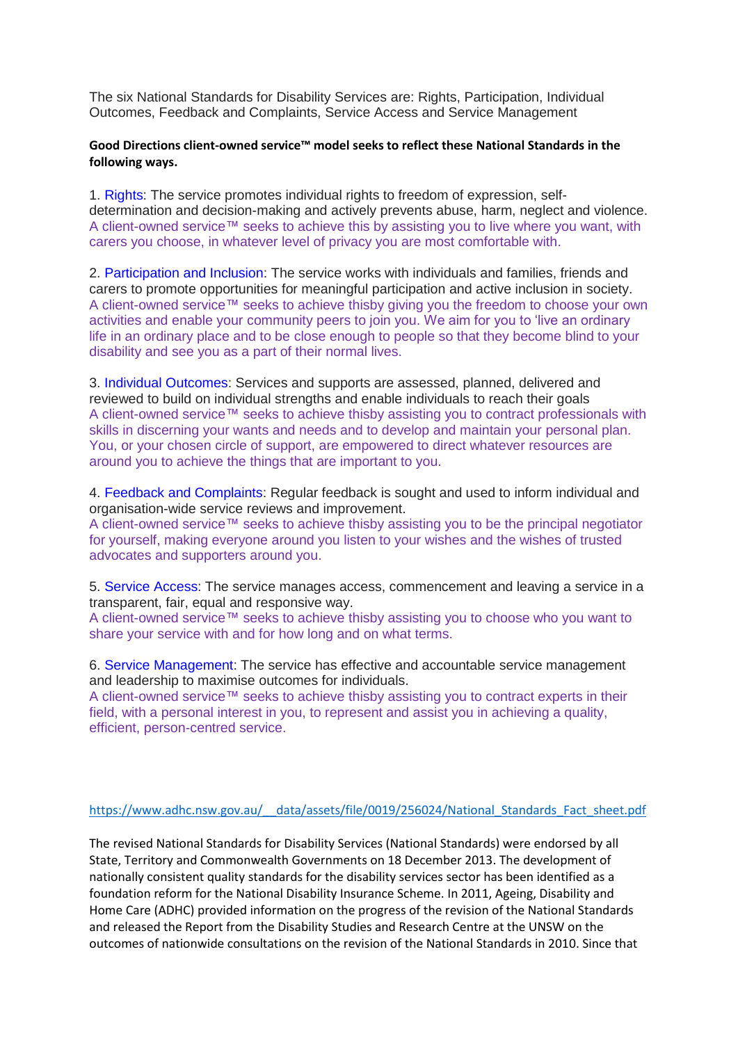The six National Standards for Disability Services are: Rights, Participation, Individual Outcomes, Feedback and Complaints, Service Access and Service Management

## **Good Directions client-owned service™ model seeks to reflect these National Standards in the following ways.**

1. Rights: The service promotes individual rights to freedom of expression, selfdetermination and decision-making and actively prevents abuse, harm, neglect and violence. A client-owned service™ seeks to achieve this by assisting you to live where you want, with carers you choose, in whatever level of privacy you are most comfortable with.

2. Participation and Inclusion: The service works with individuals and families, friends and carers to promote opportunities for meaningful participation and active inclusion in society. A client-owned service™ seeks to achieve thisby giving you the freedom to choose your own activities and enable your community peers to join you. We aim for you to 'live an ordinary life in an ordinary place and to be close enough to people so that they become blind to your disability and see you as a part of their normal lives.

3. Individual Outcomes: Services and supports are assessed, planned, delivered and reviewed to build on individual strengths and enable individuals to reach their goals A client-owned service™ seeks to achieve thisby assisting you to contract professionals with skills in discerning your wants and needs and to develop and maintain your personal plan. You, or your chosen circle of support, are empowered to direct whatever resources are around you to achieve the things that are important to you.

4. Feedback and Complaints: Regular feedback is sought and used to inform individual and organisation-wide service reviews and improvement.

A client-owned service™ seeks to achieve thisby assisting you to be the principal negotiator for yourself, making everyone around you listen to your wishes and the wishes of trusted advocates and supporters around you.

5. Service Access: The service manages access, commencement and leaving a service in a transparent, fair, equal and responsive way.

A client-owned service™ seeks to achieve thisby assisting you to choose who you want to share your service with and for how long and on what terms.

6. Service Management: The service has effective and accountable service management and leadership to maximise outcomes for individuals.

A client-owned service™ seeks to achieve thisby assisting you to contract experts in their field, with a personal interest in you, to represent and assist you in achieving a quality, efficient, person-centred service.

## [https://www.adhc.nsw.gov.au/\\_\\_data/assets/file/0019/256024/National\\_Standards\\_Fact\\_sheet.pdf](https://www.adhc.nsw.gov.au/__data/assets/file/0019/256024/National_Standards_Fact_sheet.pdf)

The revised National Standards for Disability Services (National Standards) were endorsed by all State, Territory and Commonwealth Governments on 18 December 2013. The development of nationally consistent quality standards for the disability services sector has been identified as a foundation reform for the National Disability Insurance Scheme. In 2011, Ageing, Disability and Home Care (ADHC) provided information on the progress of the revision of the National Standards and released the Report from the Disability Studies and Research Centre at the UNSW on the outcomes of nationwide consultations on the revision of the National Standards in 2010. Since that